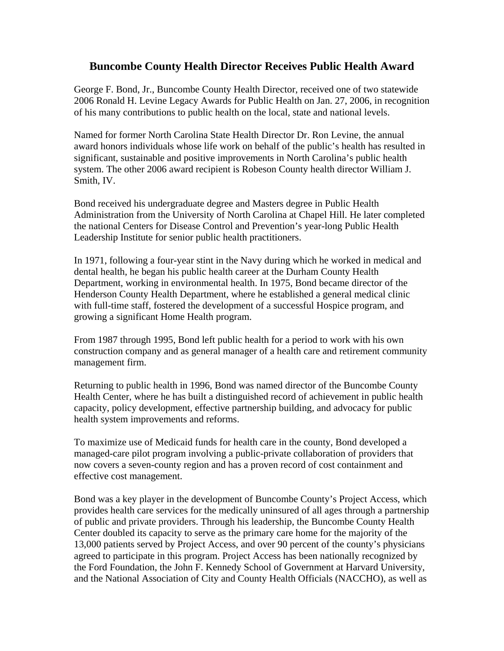## **Buncombe County Health Director Receives Public Health Award**

George F. Bond, Jr., Buncombe County Health Director, received one of two statewide 2006 Ronald H. Levine Legacy Awards for Public Health on Jan. 27, 2006, in recognition of his many contributions to public health on the local, state and national levels.

Named for former North Carolina State Health Director Dr. Ron Levine, the annual award honors individuals whose life work on behalf of the public's health has resulted in significant, sustainable and positive improvements in North Carolina's public health system. The other 2006 award recipient is Robeson County health director William J. Smith, IV.

Bond received his undergraduate degree and Masters degree in Public Health Administration from the University of North Carolina at Chapel Hill. He later completed the national Centers for Disease Control and Prevention's year-long Public Health Leadership Institute for senior public health practitioners.

In 1971, following a four-year stint in the Navy during which he worked in medical and dental health, he began his public health career at the Durham County Health Department, working in environmental health. In 1975, Bond became director of the Henderson County Health Department, where he established a general medical clinic with full-time staff, fostered the development of a successful Hospice program, and growing a significant Home Health program.

From 1987 through 1995, Bond left public health for a period to work with his own construction company and as general manager of a health care and retirement community management firm.

Returning to public health in 1996, Bond was named director of the Buncombe County Health Center, where he has built a distinguished record of achievement in public health capacity, policy development, effective partnership building, and advocacy for public health system improvements and reforms.

To maximize use of Medicaid funds for health care in the county, Bond developed a managed-care pilot program involving a public-private collaboration of providers that now covers a seven-county region and has a proven record of cost containment and effective cost management.

Bond was a key player in the development of Buncombe County's Project Access, which provides health care services for the medically uninsured of all ages through a partnership of public and private providers. Through his leadership, the Buncombe County Health Center doubled its capacity to serve as the primary care home for the majority of the 13,000 patients served by Project Access, and over 90 percent of the county's physicians agreed to participate in this program. Project Access has been nationally recognized by the Ford Foundation, the John F. Kennedy School of Government at Harvard University, and the National Association of City and County Health Officials (NACCHO), as well as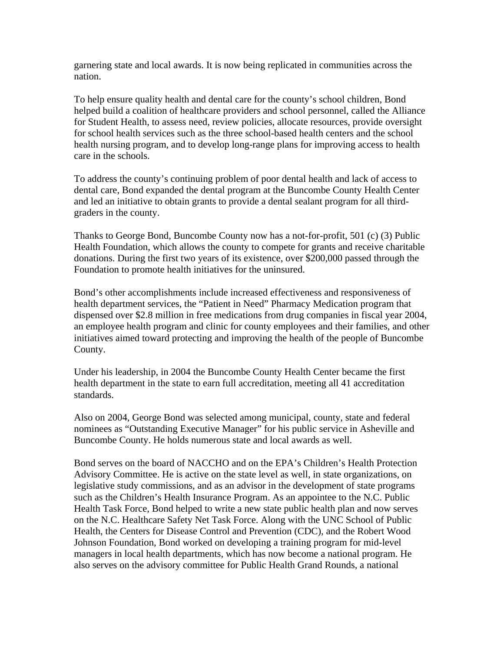garnering state and local awards. It is now being replicated in communities across the nation.

To help ensure quality health and dental care for the county's school children, Bond helped build a coalition of healthcare providers and school personnel, called the Alliance for Student Health, to assess need, review policies, allocate resources, provide oversight for school health services such as the three school-based health centers and the school health nursing program, and to develop long-range plans for improving access to health care in the schools.

To address the county's continuing problem of poor dental health and lack of access to dental care, Bond expanded the dental program at the Buncombe County Health Center and led an initiative to obtain grants to provide a dental sealant program for all thirdgraders in the county.

Thanks to George Bond, Buncombe County now has a not-for-profit, 501 (c) (3) Public Health Foundation, which allows the county to compete for grants and receive charitable donations. During the first two years of its existence, over \$200,000 passed through the Foundation to promote health initiatives for the uninsured.

Bond's other accomplishments include increased effectiveness and responsiveness of health department services, the "Patient in Need" Pharmacy Medication program that dispensed over \$2.8 million in free medications from drug companies in fiscal year 2004, an employee health program and clinic for county employees and their families, and other initiatives aimed toward protecting and improving the health of the people of Buncombe County.

Under his leadership, in 2004 the Buncombe County Health Center became the first health department in the state to earn full accreditation, meeting all 41 accreditation standards.

Also on 2004, George Bond was selected among municipal, county, state and federal nominees as "Outstanding Executive Manager" for his public service in Asheville and Buncombe County. He holds numerous state and local awards as well.

Bond serves on the board of NACCHO and on the EPA's Children's Health Protection Advisory Committee. He is active on the state level as well, in state organizations, on legislative study commissions, and as an advisor in the development of state programs such as the Children's Health Insurance Program. As an appointee to the N.C. Public Health Task Force, Bond helped to write a new state public health plan and now serves on the N.C. Healthcare Safety Net Task Force. Along with the UNC School of Public Health, the Centers for Disease Control and Prevention (CDC), and the Robert Wood Johnson Foundation, Bond worked on developing a training program for mid-level managers in local health departments, which has now become a national program. He also serves on the advisory committee for Public Health Grand Rounds, a national